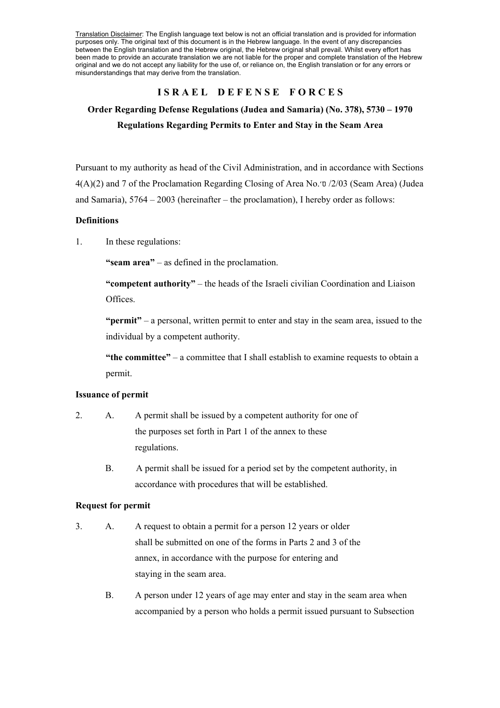Translation Disclaimer: The English language text below is not an official translation and is provided for information purposes only. The original text of this document is in the Hebrew language. In the event of any discrepancies between the English translation and the Hebrew original, the Hebrew original shall prevail. Whilst every effort has been made to provide an accurate translation we are not liable for the proper and complete translation of the Hebrew original and we do not accept any liability for the use of, or reliance on, the English translation or for any errors or misunderstandings that may derive from the translation.

### **I S R A E L D E F E N S E F O R C E S**

# **Order Regarding Defense Regulations (Judea and Samaria) (No. 378), 5730 – 1970 Regulations Regarding Permits to Enter and Stay in the Seam Area**

Pursuant to my authority as head of the Civil Administration, and in accordance with Sections 4(A)(2) and 7 of the Proclamation Regarding Closing of Area No.'ס /2/03) Seam Area) (Judea and Samaria), 5764 – 2003 (hereinafter – the proclamation), I hereby order as follows:

### **Definitions**

1. In these regulations:

**"seam area"** – as defined in the proclamation.

**"competent authority"** – the heads of the Israeli civilian Coordination and Liaison Offices.

**"permit"** – a personal, written permit to enter and stay in the seam area, issued to the individual by a competent authority.

**"the committee"** – a committee that I shall establish to examine requests to obtain a permit.

### **Issuance of permit**

- 2. A. A permit shall be issued by a competent authority for one of the purposes set forth in Part 1 of the annex to these regulations.
	- B. A permit shall be issued for a period set by the competent authority, in accordance with procedures that will be established.

### **Request for permit**

- 3. A. A request to obtain a permit for a person 12 years or older shall be submitted on one of the forms in Parts 2 and 3 of the annex, in accordance with the purpose for entering and staying in the seam area.
	- B. A person under 12 years of age may enter and stay in the seam area when accompanied by a person who holds a permit issued pursuant to Subsection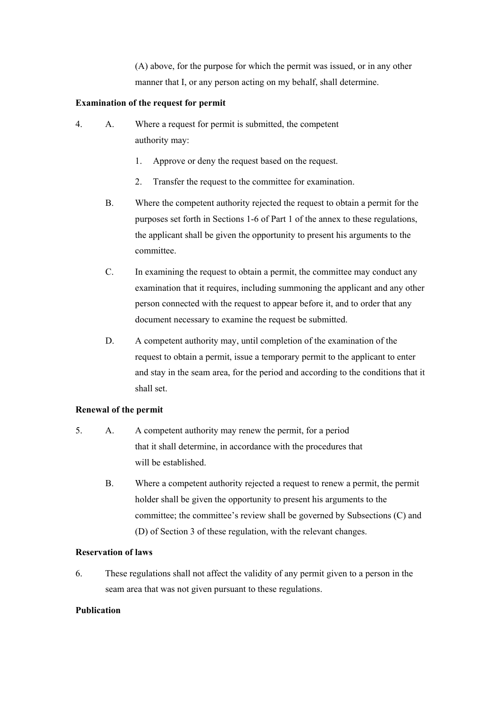(A) above, for the purpose for which the permit was issued, or in any other manner that I, or any person acting on my behalf, shall determine.

### **Examination of the request for permit**

```
4. A. Where a request for permit is submitted, the competent 
  authority may:
```
- 1. Approve or deny the request based on the request.
- 2. Transfer the request to the committee for examination.
- B. Where the competent authority rejected the request to obtain a permit for the purposes set forth in Sections 1-6 of Part 1 of the annex to these regulations, the applicant shall be given the opportunity to present his arguments to the committee.
- C. In examining the request to obtain a permit, the committee may conduct any examination that it requires, including summoning the applicant and any other person connected with the request to appear before it, and to order that any document necessary to examine the request be submitted.
- D. A competent authority may, until completion of the examination of the request to obtain a permit, issue a temporary permit to the applicant to enter and stay in the seam area, for the period and according to the conditions that it shall set.

### **Renewal of the permit**

- 5. A. A competent authority may renew the permit, for a period that it shall determine, in accordance with the procedures that will be established.
	- B. Where a competent authority rejected a request to renew a permit, the permit holder shall be given the opportunity to present his arguments to the committee; the committee's review shall be governed by Subsections (C) and (D) of Section 3 of these regulation, with the relevant changes.

### **Reservation of laws**

6. These regulations shall not affect the validity of any permit given to a person in the seam area that was not given pursuant to these regulations.

### **Publication**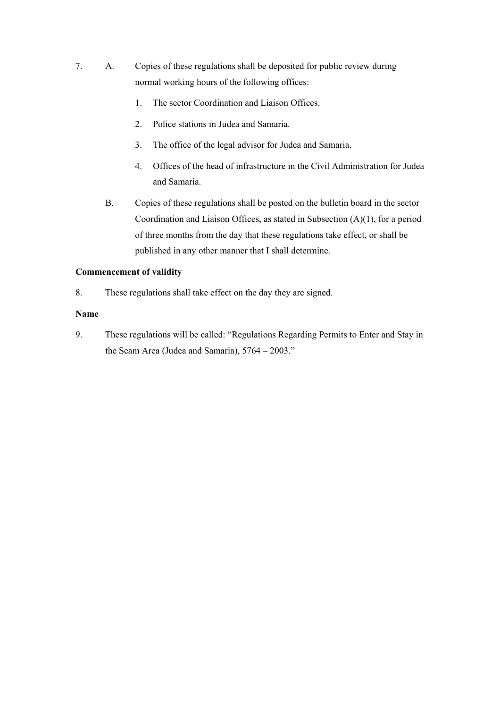- 7. A. Copies of these regulations shall be deposited for public review during normal working hours of the following offices:
	- 1. The sector Coordination and Liaison Offices.
	- 2. Police stations in Judea and Samaria.
	- 3. The office of the legal advisor for Judea and Samaria.
	- 4. Offices of the head of infrastructure in the Civil Administration for Judea and Samaria.
	- B. Copies of these regulations shall be posted on the bulletin board in the sector Coordination and Liaison Offices, as stated in Subsection (A)(1), for a period of three months from the day that these regulations take effect, or shall be published in any other manner that I shall determine.

### **Commencement of validity**

8. These regulations shall take effect on the day they are signed.

### **Name**

9. These regulations will be called: "Regulations Regarding Permits to Enter and Stay in the Seam Area (Judea and Samaria), 5764 – 2003."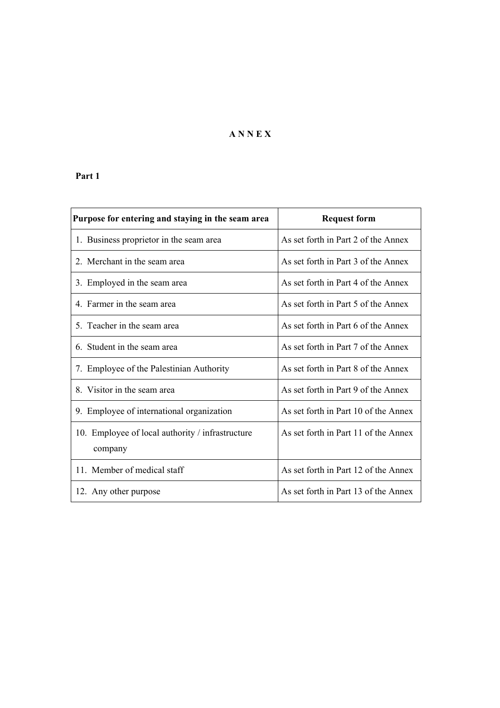# **A N N E X**

# **Part 1**

| Purpose for entering and staying in the seam area           | <b>Request form</b>                  |
|-------------------------------------------------------------|--------------------------------------|
| 1. Business proprietor in the seam area                     | As set forth in Part 2 of the Annex  |
| 2. Merchant in the seam area                                | As set forth in Part 3 of the Annex  |
| 3. Employed in the seam area                                | As set forth in Part 4 of the Annex  |
| 4. Farmer in the seam area                                  | As set forth in Part 5 of the Annex  |
| 5. Teacher in the seam area                                 | As set forth in Part 6 of the Annex  |
| 6. Student in the seam area                                 | As set forth in Part 7 of the Annex  |
| 7. Employee of the Palestinian Authority                    | As set forth in Part 8 of the Annex  |
| 8. Visitor in the seam area                                 | As set forth in Part 9 of the Annex  |
| 9. Employee of international organization                   | As set forth in Part 10 of the Annex |
| 10. Employee of local authority / infrastructure<br>company | As set forth in Part 11 of the Annex |
| 11. Member of medical staff                                 | As set forth in Part 12 of the Annex |
| 12. Any other purpose                                       | As set forth in Part 13 of the Annex |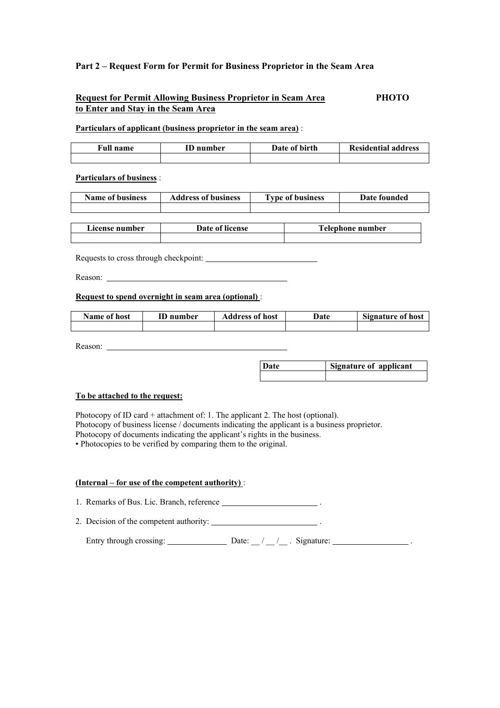### **Part 2 – Request Form for Permit for Business Proprietor in the Seam Area**

### **Request for Permit Allowing Business Proprietor in Seam Area PHOTO to Enter and Stay in the Seam Area**

**Particulars of applicant (business proprietor in the seam area)** :

| <b>Full name</b> | <b>ID</b> number | Date of birth | <b>Residential address</b> |
|------------------|------------------|---------------|----------------------------|
|                  |                  |               |                            |

#### **Particulars of business** :

| <b>Name of business</b> | <b>Address of business</b> | <b>Type of business</b> | Date founded |
|-------------------------|----------------------------|-------------------------|--------------|
|                         |                            |                         |              |

| License number | Date of license | Telephone number |  |
|----------------|-----------------|------------------|--|
|                |                 |                  |  |

Requests to cross through checkpoint:

Reason:

### **Request to spend overnight in seam area (optional)** :

| <b>Name of host</b> | <b>ID</b> number | <b>Address of host</b> | Date | <b>Signature of host</b> |
|---------------------|------------------|------------------------|------|--------------------------|
|                     |                  |                        |      |                          |

Reason:

| Date | Signature of applicant |
|------|------------------------|
|      |                        |

#### **To be attached to the request:**

Photocopy of ID card + attachment of: 1. The applicant 2. The host (optional). Photocopy of business license / documents indicating the applicant is a business proprietor.

Photocopy of documents indicating the applicant's rights in the business.

• Photocopies to be verified by comparing them to the original.

#### **(Internal – for use of the competent authority)** :

1. Remarks of Bus. Lic. Branch, reference  $\overline{\phantom{a}}$ .

2. Decision of the competent authority: .

Entry through crossing: Date: \_\_ / \_\_ /\_\_ . Signature: .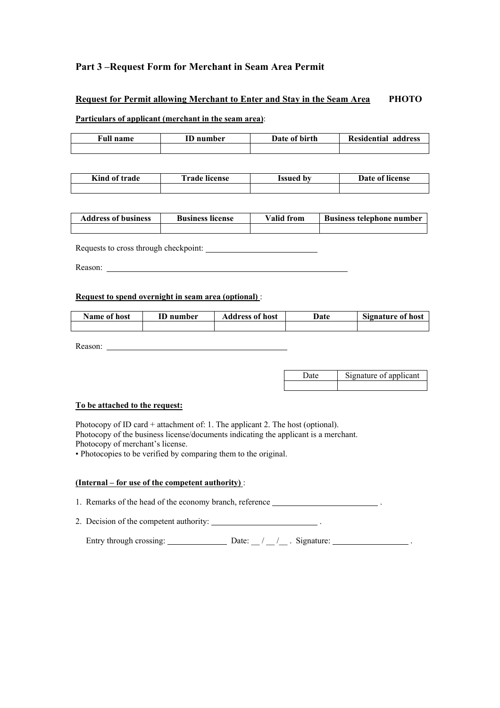# **Part 3 –Request Form for Merchant in Seam Area Permit**

### **Request for Permit allowing Merchant to Enter and Stay in the Seam Area PHOTO**

### **Particulars of applicant (merchant in the seam area)**:

| <b>Full name</b> | ID number | Date of birth | <b>Residential address</b> |
|------------------|-----------|---------------|----------------------------|
|                  |           |               |                            |

| Kind of trade | <b>Trade license</b> | Issued by | Date of license |
|---------------|----------------------|-----------|-----------------|
|               |                      |           |                 |

| <b>Address of business</b> | <b>Business license</b> | Valid from | <b>Business telephone number</b> |
|----------------------------|-------------------------|------------|----------------------------------|
|                            |                         |            |                                  |

Requests to cross through checkpoint:

Reason:

### **Request to spend overnight in seam area (optional)** :

| <b>Name of host</b> | <b>ID</b> number | <b>Address of host</b> | Date | <b>Signature of host</b> |
|---------------------|------------------|------------------------|------|--------------------------|
|                     |                  |                        |      |                          |
|                     |                  |                        |      |                          |

Reason:

#### **To be attached to the request:**

Photocopy of ID card + attachment of: 1. The applicant 2. The host (optional). Photocopy of the business license/documents indicating the applicant is a merchant. Photocopy of merchant's license.

• Photocopies to be verified by comparing them to the original.

### **(Internal – for use of the competent authority)** :

1. Remarks of the head of the economy branch, reference *subsequence* .

2. Decision of the competent authority: .

Entry through crossing:  $\qquad \qquad$  Date:  $\qquad$  /  $\qquad$  . Signature:  $\qquad \qquad$ .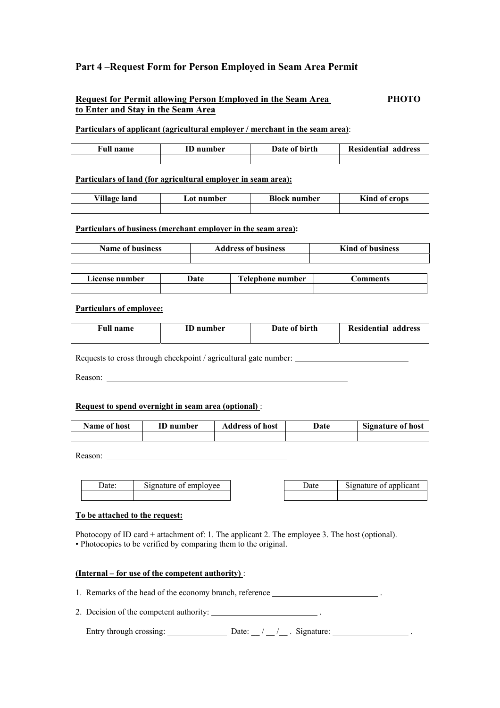# **Part 4 –Request Form for Person Employed in Seam Area Permit**

### **Request for Permit allowing Person Employed in the Seam Area PHOTO to Enter and Stay in the Seam Area**

**Particulars of applicant (agricultural employer / merchant in the seam area)**:

| <b>Full name</b> | <b>ID</b> number | Date of birth | <b>Residential address</b> |
|------------------|------------------|---------------|----------------------------|
|                  |                  |               |                            |

**Particulars of land (for agricultural employer in seam area):**

| Village land | Lot number | <b>Block number</b> | Kind of crops |
|--------------|------------|---------------------|---------------|
|              |            |                     |               |

### **Particulars of business (merchant employer in the seam area):**

| <b>Name of business</b><br><b>Address of business</b> |      |                  | <b>Kind of business</b> |
|-------------------------------------------------------|------|------------------|-------------------------|
|                                                       |      |                  |                         |
|                                                       |      |                  |                         |
| License number                                        | Date | Telephone number | Comments                |
|                                                       |      |                  |                         |

### **Particulars of employee:**

| <b>Full name</b> | <b>ID</b> number | Date of birth | <b>Residential address</b> |
|------------------|------------------|---------------|----------------------------|
|                  |                  |               |                            |

Requests to cross through checkpoint / agricultural gate number:

Reason:

#### **Request to spend overnight in seam area (optional)** :

| <b>Name of host</b> | ID number | Address of host | Date | <b>Signature of host</b> |
|---------------------|-----------|-----------------|------|--------------------------|
|                     |           |                 |      |                          |

Reason:

| Date∶ | Signature of $\epsilon$<br>emplovee | ⊃ate | applicant<br>31gnature<br>ΟĪ |
|-------|-------------------------------------|------|------------------------------|
|       |                                     |      |                              |

#### **To be attached to the request:**

Photocopy of ID card + attachment of: 1. The applicant 2. The employee 3. The host (optional). • Photocopies to be verified by comparing them to the original.

#### **(Internal – for use of the competent authority)** :

1. Remarks of the head of the economy branch, reference .

2. Decision of the competent authority:

Entry through crossing:  $\qquad \qquad$  Date:  $\qquad \qquad / \qquad$  . Signature:  $\qquad \qquad$ .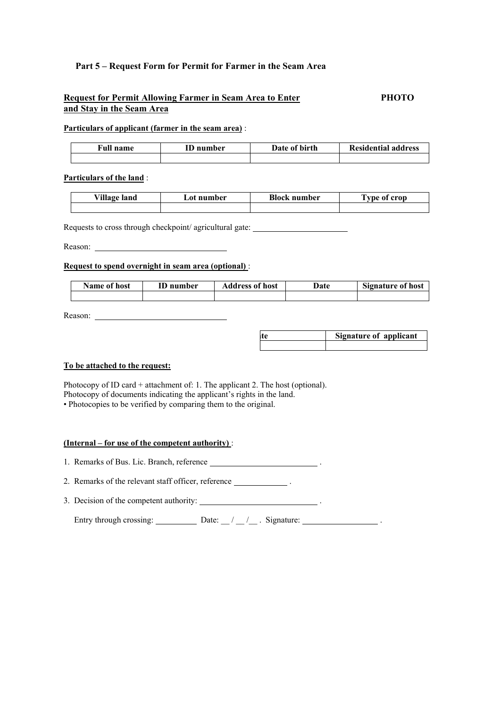### **Part 5 – Request Form for Permit for Farmer in the Seam Area**

### **Request for Permit Allowing Farmer in Seam Area to Enter PHOTO and Stay in the Seam Area**

#### **Particulars of applicant (farmer in the seam area)** :

| <b>Full name</b> | ID number | Date of birth | <b>Residential address</b> |
|------------------|-----------|---------------|----------------------------|
|                  |           |               |                            |

### **Particulars of the land** :

| Village land | Lot number | <b>Block number</b> | Type of crop |
|--------------|------------|---------------------|--------------|
|              |            |                     |              |

Requests to cross through checkpoint/ agricultural gate:

Reason:

#### **Request to spend overnight in seam area (optional)** :

| Name of host | <b>ID</b> number | Address of host | Date | <b>Signature of host</b> |
|--------------|------------------|-----------------|------|--------------------------|
|              |                  |                 |      |                          |

Reason:

| Signature of applicant |
|------------------------|
|                        |

#### **To be attached to the request:**

Photocopy of ID card + attachment of: 1. The applicant 2. The host (optional). Photocopy of documents indicating the applicant's rights in the land.

• Photocopies to be verified by comparing them to the original.

#### **(Internal – for use of the competent authority)** :

1. Remarks of Bus. Lic. Branch, reference .

2. Remarks of the relevant staff officer, reference .

3. Decision of the competent authority: \_\_\_\_\_\_\_\_\_\_\_\_\_\_\_\_\_\_\_\_\_\_\_\_\_\_\_\_\_\_\_\_.

Entry through crossing:  $\qquad \qquad$  Date:  $\qquad \qquad / \qquad$  . Signature:  $\qquad \qquad$ .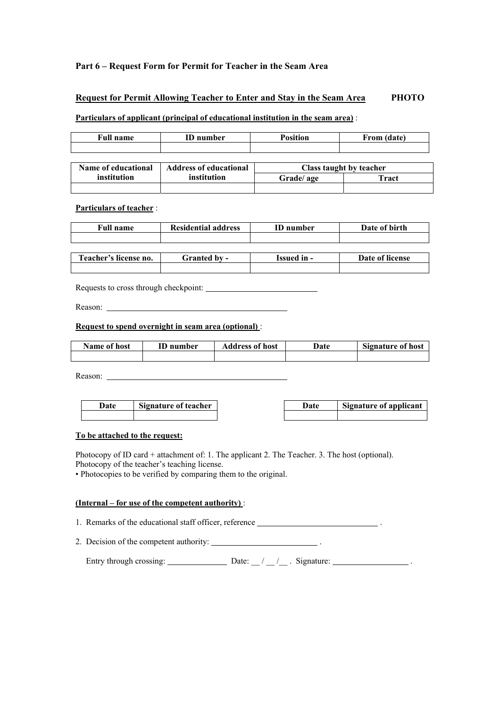### **Part 6 – Request Form for Permit for Teacher in the Seam Area**

### **Request for Permit Allowing Teacher to Enter and Stay in the Seam Area PHOTO**

### **Particulars of applicant (principal of educational institution in the seam area)** :

| <b>Full name</b> | ID number | <b>Position</b> | From (date) |
|------------------|-----------|-----------------|-------------|
|                  |           |                 |             |

| Name of educational | <b>Address of educational</b> | Class taught by teacher |       |  |
|---------------------|-------------------------------|-------------------------|-------|--|
| institution         | institution                   | Grade/age               | Tract |  |
|                     |                               |                         |       |  |

#### **Particulars of teacher** :

| <b>Full name</b>      | <b>Residential address</b> | <b>ID</b> number   | Date of birth   |
|-----------------------|----------------------------|--------------------|-----------------|
|                       |                            |                    |                 |
|                       |                            |                    |                 |
| Teacher's license no. | <b>Granted by -</b>        | <b>Issued in -</b> | Date of license |
|                       |                            |                    |                 |

Requests to cross through checkpoint:

Reason:

**Request to spend overnight in seam area (optional)** :

| <b>Name of host</b> | <b>ID</b> number | <b>Address of host</b> | Date | <b>Signature of host</b> |
|---------------------|------------------|------------------------|------|--------------------------|
|                     |                  |                        |      |                          |

Reason:

| Date | Signature of teacher | Date | Signature of applicant |
|------|----------------------|------|------------------------|
|      |                      |      |                        |

#### **To be attached to the request:**

Photocopy of ID card + attachment of: 1. The applicant 2. The Teacher. 3. The host (optional). Photocopy of the teacher's teaching license.

• Photocopies to be verified by comparing them to the original.

#### **(Internal – for use of the competent authority)** :

1. Remarks of the educational staff officer, reference .

2. Decision of the competent authority:  $\frac{1}{2}$ .

Entry through crossing:  $\frac{1}{2}$  Date:  $\frac{1}{2}$  . Signature:  $\frac{1}{2}$ .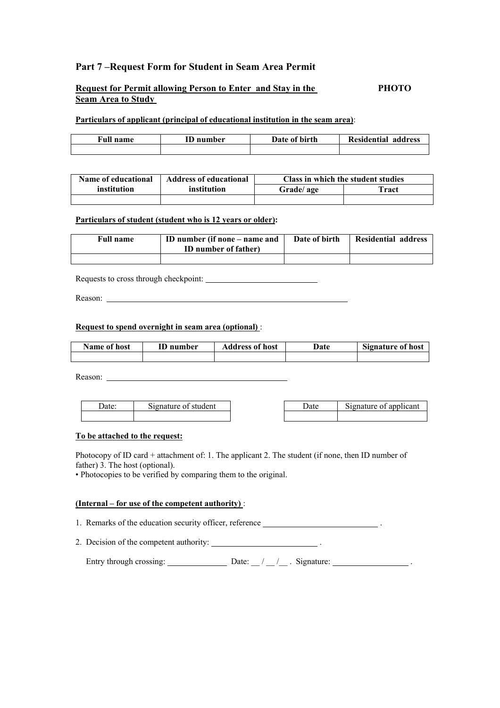### **Part 7 –Request Form for Student in Seam Area Permit**

### **Request for Permit allowing Person to Enter and Stay in the PHOTO Seam Area to Study**

### **Particulars of applicant (principal of educational institution in the seam area)**:

| <b>Full name</b> | ID number | Date of birth | <b>Residential address</b> |
|------------------|-----------|---------------|----------------------------|
|                  |           |               |                            |

| Name of educational | <b>Address of educational</b> |           | Class in which the student studies |
|---------------------|-------------------------------|-----------|------------------------------------|
| institution         | institution                   | Grade/age | Tract                              |
|                     |                               |           |                                    |

#### **Particulars of student (student who is 12 years or older):**

| <b>Full name</b> | ID number (if none – name and<br><b>ID</b> number of father) | Date of birth | Residential address |
|------------------|--------------------------------------------------------------|---------------|---------------------|
|                  |                                                              |               |                     |

Requests to cross through checkpoint:

Reason:

### **Request to spend overnight in seam area (optional)** :

| <b>Name of host</b> | <b>ID</b> number | <b>Address of host</b> | Date | <b>Signature of host</b> |
|---------------------|------------------|------------------------|------|--------------------------|
|                     |                  |                        |      |                          |

Reason:

| Date: | Signature of 1<br>student | Jate | applicant<br>signature of |
|-------|---------------------------|------|---------------------------|
|       |                           |      |                           |

#### **To be attached to the request:**

Photocopy of ID card + attachment of: 1. The applicant 2. The student (if none, then ID number of father) 3. The host (optional).

• Photocopies to be verified by comparing them to the original.

### **(Internal – for use of the competent authority)** :

1. Remarks of the education security officer, reference  $\blacksquare$ .

2. Decision of the competent authority:  $\frac{1}{2}$ .

Entry through crossing: Date: \_\_ / \_\_ /\_\_ . Signature: .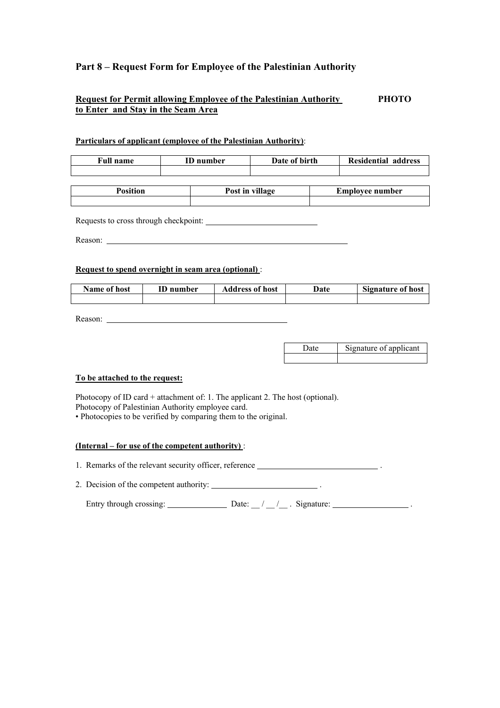# **Part 8 – Request Form for Employee of the Palestinian Authority**

### **Request for Permit allowing Employee of the Palestinian Authority PHOTO to Enter and Stay in the Seam Area**

### **Particulars of applicant (employee of the Palestinian Authority)**:

| <b>Full name</b> | <b>ID</b> number | Date of birth | <b>Residential address</b> |
|------------------|------------------|---------------|----------------------------|
|                  |                  |               |                            |
|                  |                  |               |                            |

| $\mathbf{D}_{\mathbf{A}}$<br>tıon | <br>Post in<br>village | <b>Employee number</b> |
|-----------------------------------|------------------------|------------------------|
|                                   |                        |                        |

Requests to cross through checkpoint:

Reason:

### **Request to spend overnight in seam area (optional)** :

| Name of host | <b>ID</b> number | <b>Address of host</b> | Date | Signature of host |
|--------------|------------------|------------------------|------|-------------------|
|              |                  |                        |      |                   |

Reason:

| Date<br>Signature of applicant |  |
|--------------------------------|--|
|                                |  |

### **To be attached to the request:**

Photocopy of ID card + attachment of: 1. The applicant 2. The host (optional). Photocopy of Palestinian Authority employee card.

• Photocopies to be verified by comparing them to the original.

#### **(Internal – for use of the competent authority)** :

1. Remarks of the relevant security officer, reference \_\_\_\_\_\_\_\_\_\_\_\_\_\_\_\_\_\_\_\_\_\_\_\_\_\_

2. Decision of the competent authority:  $\qquad \qquad$ .

| Entry through crossing: | Date: |  | / Signature: |  |
|-------------------------|-------|--|--------------|--|
|                         |       |  |              |  |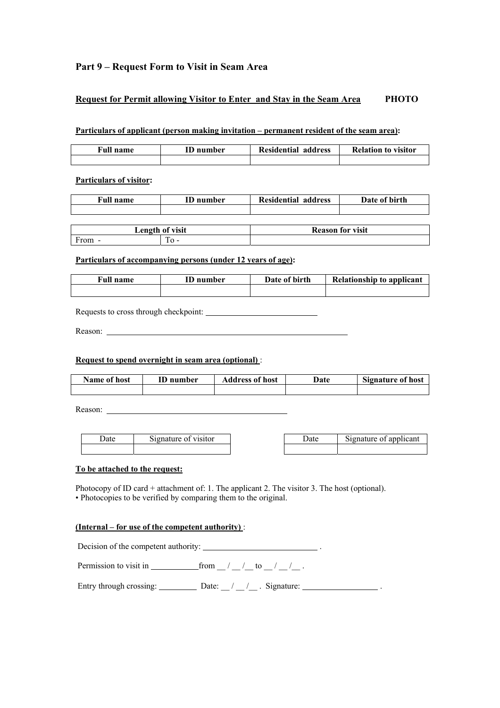# **Part 9 – Request Form to Visit in Seam Area**

### **Request for Permit allowing Visitor to Enter and Stay in the Seam Area PHOTO**

### **Particulars of applicant (person making invitation – permanent resident of the seam area):**

| <b>Full name</b> | <b>ID</b> number | <b>Residential address</b> | <b>Relation to visitor</b> |
|------------------|------------------|----------------------------|----------------------------|
|                  |                  |                            |                            |

#### **Particulars of visitor:**

| <b>Full name</b> | <b>ID</b> number | <b>Residential address</b> | Date of birth |
|------------------|------------------|----------------------------|---------------|
|                  |                  |                            |               |
|                  |                  |                            |               |

| Length of visit |              | <b>Reason for visit</b> |
|-----------------|--------------|-------------------------|
| From -          | --<br>$10 -$ |                         |

#### **Particulars of accompanying persons (under 12 years of age):**

| <b>Full name</b> | <b>ID</b> number | Date of birth | <b>Relationship to applicant</b> |
|------------------|------------------|---------------|----------------------------------|
|                  |                  |               |                                  |

Requests to cross through checkpoint:

Reason: <u>2008</u>

### **Request to spend overnight in seam area (optional)** :

| Name of host | <b>ID</b> number | <b>Address of host</b> | Date | <b>Signature of host</b> |
|--------------|------------------|------------------------|------|--------------------------|
|              |                  |                        |      |                          |

Reason:

| Date | Signature of visitor | Date | signature of applicant |
|------|----------------------|------|------------------------|
|      |                      |      |                        |

#### **To be attached to the request:**

Photocopy of ID card + attachment of: 1. The applicant 2. The visitor 3. The host (optional). • Photocopies to be verified by comparing them to the original.

### **(Internal – for use of the competent authority)** :

Decision of the competent authority: .

Permission to visit in  $\frac{1}{\sqrt{2\pi}}$  from  $\sqrt{2\pi}$  to  $\sqrt{2\pi}$ .

Entry through crossing:  $\frac{1}{\sqrt{2\pi}}$  Date:  $\frac{1}{\sqrt{2}}$  . Signature:  $\frac{1}{\sqrt{2}}$ .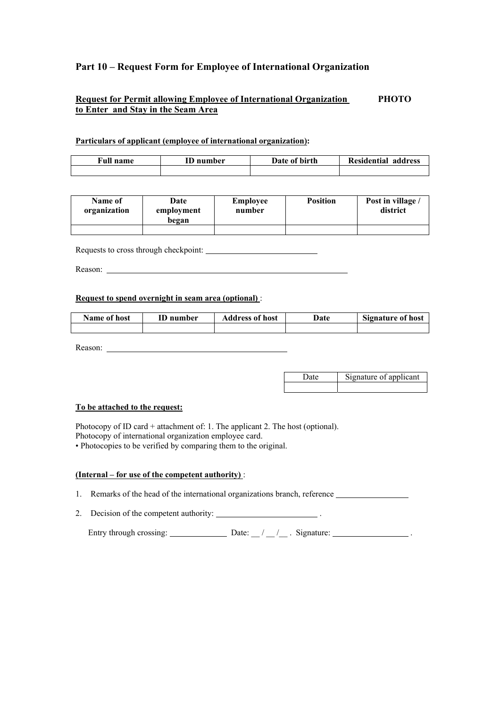# **Part 10 – Request Form for Employee of International Organization**

### **Request for Permit allowing Employee of International Organization PHOTO to Enter and Stay in the Seam Area**

### **Particulars of applicant (employee of international organization):**

| <b>Full name</b> | <b>ID</b> number | Date of birth | Residential address |
|------------------|------------------|---------------|---------------------|
|                  |                  |               |                     |

| Name of<br>organization | Date<br>employment<br>began | <b>Employee</b><br>number | <b>Position</b> | Post in village /<br>district |
|-------------------------|-----------------------------|---------------------------|-----------------|-------------------------------|
|                         |                             |                           |                 |                               |

Requests to cross through checkpoint:

Reason:

#### **Request to spend overnight in seam area (optional)** :

| Name of host | ID number | <b>Address of host</b> | Date | <b>Signature of host</b> |
|--------------|-----------|------------------------|------|--------------------------|
|              |           |                        |      |                          |

Reason:

| Date | Signature of applicant |
|------|------------------------|
|      |                        |

### **To be attached to the request:**

Photocopy of ID card + attachment of: 1. The applicant 2. The host (optional). Photocopy of international organization employee card.

• Photocopies to be verified by comparing them to the original.

### **(Internal – for use of the competent authority)** :

| 1. Remarks of the head of the international organizations branch, reference |  |
|-----------------------------------------------------------------------------|--|
|-----------------------------------------------------------------------------|--|

2. Decision of the competent authority:  $\qquad \qquad$ 

Entry through crossing: Date: \_\_ / \_\_ /\_\_ . Signature: .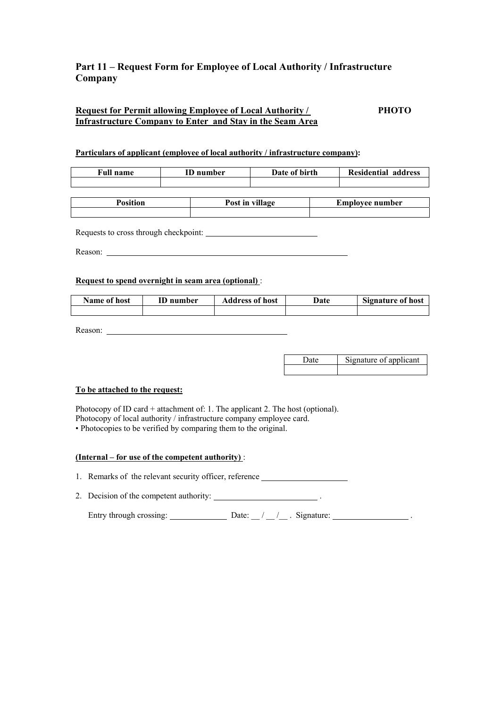# **Part 11 – Request Form for Employee of Local Authority / Infrastructure Company**

### **Request for Permit allowing Employee of Local Authority / PHOTO Infrastructure Company to Enter and Stay in the Seam Area**

### **Particulars of applicant (employee of local authority / infrastructure company):**

| <b>Full name</b> | <b>ID</b> number | Date of birth   |  | <b>Residential address</b> |  |
|------------------|------------------|-----------------|--|----------------------------|--|
|                  |                  |                 |  |                            |  |
|                  |                  |                 |  |                            |  |
| Position         |                  | Post in village |  | <b>Employee number</b>     |  |

Requests to cross through checkpoint:

Reason:

#### **Request to spend overnight in seam area (optional)** :

| <b>Name of host</b> | <b>ID</b> number | <b>Address of host</b> | Date | <b>Signature of host</b> |
|---------------------|------------------|------------------------|------|--------------------------|
|                     |                  |                        |      |                          |

Reason:

#### **To be attached to the request:**

Photocopy of ID card + attachment of: 1. The applicant 2. The host (optional). Photocopy of local authority / infrastructure company employee card. • Photocopies to be verified by comparing them to the original.

### **(Internal – for use of the competent authority)** :

1. Remarks of the relevant security officer, reference

2. Decision of the competent authority: \_\_\_\_\_\_\_\_\_\_\_\_\_\_\_\_\_\_\_\_\_\_\_\_.

Entry through crossing:  $\frac{1}{2}$  Date:  $\frac{1}{2}$  Signature:  $\frac{1}{2}$ .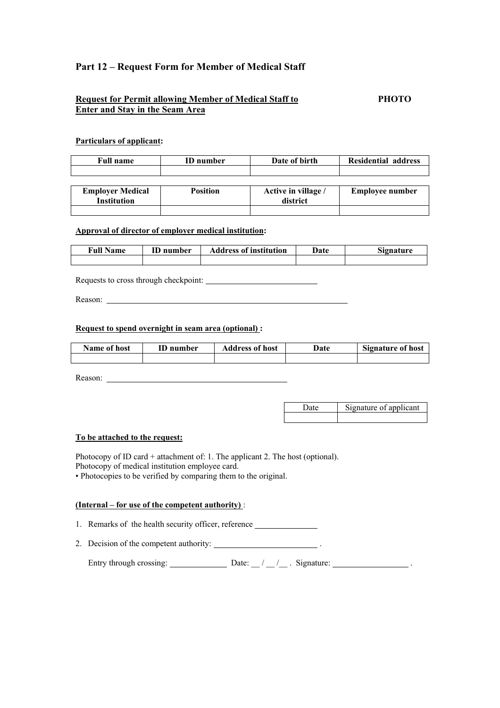# **Part 12 – Request Form for Member of Medical Staff**

### **Request for Permit allowing Member of Medical Staff to PHOTO Enter and Stay in the Seam Area**

#### **Particulars of applicant:**

| <b>Full name</b> | <b>ID</b> number | Date of birth | Residential address |
|------------------|------------------|---------------|---------------------|
|                  |                  |               |                     |

| <b>Employer Medical</b><br><b>Institution</b> | <b>Position</b> | Active in village /<br>district | <b>Employee number</b> |
|-----------------------------------------------|-----------------|---------------------------------|------------------------|
|                                               |                 |                                 |                        |

### **Approval of director of employer medical institution:**

| <b>Full Name</b> | <b>ID</b> number | <b>Address of institution</b> | Date | Signature |
|------------------|------------------|-------------------------------|------|-----------|
|                  |                  |                               |      |           |

Requests to cross through checkpoint:

Reason: Figure 1.1 and 2.1 and 2.1 and 2.1 and 2.1 and 2.1 and 2.1 and 2.1 and 2.1 and 2.1 and 2.1 and 2.1 and 2.1 and 2.1 and 2.1 and 2.1 and 2.1 and 2.1 and 2.1 and 2.1 and 2.1 and 2.1 and 2.1 and 2.1 and 2.1 and 2.1 and

### **Request to spend overnight in seam area (optional) :**

| Name of host | <b>ID</b> number | Address of host | Date | <b>Signature of host</b> |
|--------------|------------------|-----------------|------|--------------------------|
|              |                  |                 |      |                          |

Reason:

| Date | Signature of applicant |
|------|------------------------|
|      |                        |

### **To be attached to the request:**

Photocopy of ID card + attachment of: 1. The applicant 2. The host (optional). Photocopy of medical institution employee card.

• Photocopies to be verified by comparing them to the original.

#### **(Internal – for use of the competent authority)** :

1. Remarks of the health security officer, reference

2. Decision of the competent authority: .

Entry through crossing:  $\qquad \qquad$  Date:  $\qquad \qquad / \qquad$  . Signature:  $\qquad \qquad$ .